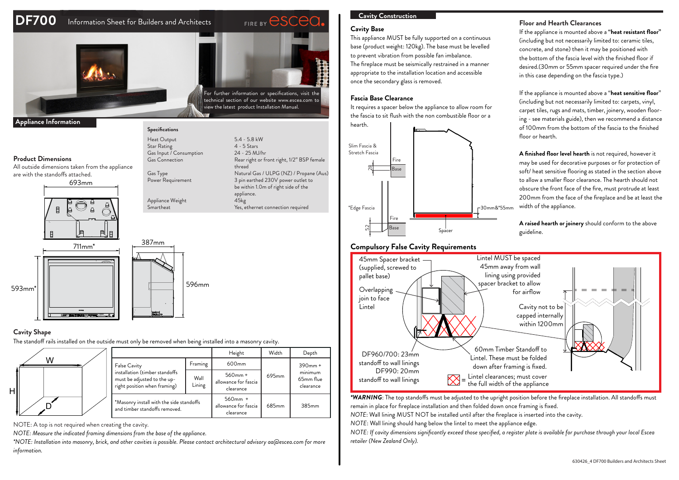# **DF700** Information Sheet for Builders and Architects





# For further information or specifications, visit the

Rear right or front right, 1/2" BSP female

3 pin earthed 230V power outlet to be within 1.0m of right side of the

Yes, ethernet connection required

technical section of our website www.escea.com to view the latest product Installation Manual.

Gas Type  $\overline{S}$  Cass Type  $\overline{S}$  Natural Gas / ULPG (NZ) / Propane (Aus)<br>Power Requirement 3 pin earthed 230V power outlet to

appliance<br>45kg

#### **Appliance Information**

#### **Product Dimensions**

All outside dimensions taken from the appliance are with the standoffs attached.







Appliance Weight<br>Smartheat

**Specifications**

Gas Input / Consumption<br>Gas Connection

Heat Output 5.4 - 5.8 kW<br>Star Rating 2.5 Stars Star Rating 4 - 5 Stars<br>Gas Input / Consumption 24 - 25 MJ/hr

thread

# **Cavity Shape**

H

The standoff rails installed on the outside must only be removed when being installed into a masonry cavity.

|   |                                                                                                               |                | Height                                          | Width             | Depth                                                       |
|---|---------------------------------------------------------------------------------------------------------------|----------------|-------------------------------------------------|-------------------|-------------------------------------------------------------|
| W | False Cavity<br>installation (timber standoffs<br>must be adjusted to the up-<br>right position when framing) | Framing        | 600 <sub>mm</sub>                               | 695 <sub>mm</sub> | $390$ mm $+$<br>$\sim$<br>minimum<br>65mm flue<br>clearance |
|   |                                                                                                               | Wall<br>Lining | $560$ mm +<br>allowance for fascia<br>clearance |                   |                                                             |
|   | *Masonry install with the side standoffs<br>and timber standoffs removed.                                     |                | $560mm +$<br>allowance for fascia<br>clearance  | 685mm             | 385mm                                                       |

NOTE: A top is not required when creating the cavity.

*NOTE: Measure the indicated framing dimensions from the base of the appliance.*

*\*NOTE: Installation into masonry, brick, and other cavities is possible. Please contact architectural advisory aa@escea.com for more information.*

## **Cavity Construction**

#### **Cavity Base**

This appliance MUST be fully supported on a continuous base (product weight: 120kg). The base must be levelled to prevent vibration from possible fan imbalance. The fireplace must be seismically restrained in a manner appropriate to the installation location and accessible once the secondary glass is removed.

# Fascia Base Clearance

. Leville was a spacer below the appliance to allow room for<br>It requires a spacer below the appliance to allow room for the fascia to sit flush with the non combustible floor or a



#### **Compulsory False Cavity Requirements**

#### Overlapping  $\sim$  $\blacksquare$  (supplied, screwed to Cavity not to be capped internally within 1200mm DF960/700: 23mm standoff to wall linings DF990: 20mm standoff to wall linings Lintel MUST be spaced 45mm away from wall lining using provided spacer bracket to allow for airflow 45mm Spacer bracket pallet base)  $60$ mm Timber Standoff to Lintel. These must be folded down after framing is fixed. Lintel clearances; must cover the full width of the appliance join to face Lintel

*\*WARNING*: The top standoffs must be adjusted to the upright position before the fireplace installation. All standoffs must remain in place for fireplace installation and then folded down once framing is fixed.

*NOTE*: Wall lining MUST NOT be installed until after the fireplace is inserted into the cavity.

*NOTE*: Wall lining should hang below the lintel to meet the appliance edge.

*NOTE: If cavity dimensions significantly exceed those specified, a register plate is available for purchase through your local Escea retailer (New Zealand Only).*

#### **Floor and Hearth Clearances**

If the appliance is mounted above a **"heat resistant floor"** (including but not necessarily limited to: ceramic tiles, concrete, and stone) then it may be positioned with the bottom of the fascia level with the finished floor if desired.(30mm or 55mm spacer required under the fire in this case depending on the fascia type.)

If the appliance is mounted above a "**heat sensitive floor**" (including but not necessarily limited to: carpets, vinyl, carpet tiles, rugs and mats, timber, joinery, wooden flooring - see materials guide), then we recommend a distance of 100mm from the bottom of the fascia to the finished floor or hearth.

**A finished floor level hearth** is not required, however it may be used for decorative purposes or for protection of soft/ heat sensitive flooring as stated in the section above to allow a smaller floor clearance. The hearth should not obscure the front face of the fire, must protrude at least 200mm from the face of the fireplace and be at least the width of the appliance.

**A raised hearth or joinery** should conform to the above guideline.